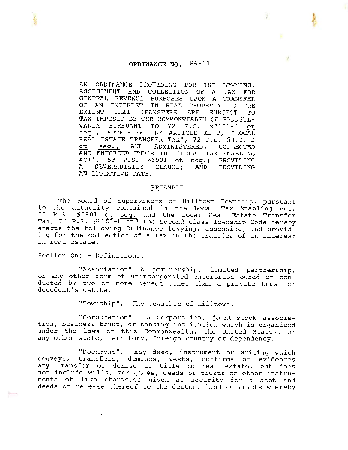## **ORDINANCE NO.** 86-10

 $\mathcal{F}$ 

AN ORDINANCE PROVIDING FOR THE LEVYING, ASSESSMENT AND COLLECTION OF A TAX FOR GENERAL REVENUE PURPOSES UPON A TRANSFER OF AN INTEREST IN REAL PROPERTY TO THE EXTENT THAT TRANSFERS ARE SUBJECT TO TAX IMPOSED BY THE COMMONWEALTH OF PENNSYL-VANIA PURSUANT TO 72 P.S. §8101-C et seq., AUTHORIZED BY ARTICLE XI-D, "LOCAL REAL ESTATE TRANSFER TAX", 72 P.S. §8101-D et seq., AND ADMINISTERED, COLLECTED AND ENFORCED UNDER THE "LOCAL TAX ENABLING ACT", 53 P.S. §6901 et seq.; PROVIDING A SEVERABILITY CLAUSE; AND PROVIDING AN EFFECTIVE DATE.

#### PREAMBLE

The Board of Supervisors of Hilltown Township, pursuant to the authority contained in the Local Tax Enabling Act,<br>53 P.S. §6901 et seq. and the Local Real Estate Transfer 53 P.S. §6901 et seq. and the Local Real Estate Transfer<br>Tax, 72 P.S. §8101-D and the Second Class Township Code hereby enacts the following Ordinance levying, assessing, and providing for the collection of a tax on the transfer of an interest in real estate.

#### Section One - Definitions.

"Association". A partnership, limited partnership, or any other form of unincorporated enterprise owned or conducted by two or more person other than a private trust or decedent's estate.

"Township". The Township of Hilltown.

"Corporation". A Corporation, joint-stock association, business trust, or banking institution which is organized under the laws of this Commonwealth, the United States, or any other state, territory, foreign country or dependency.

"Document". Any deed, instrument or writing which conveys, transfers, demises, vests, confirms or evidences conveys, transfers, demises, vests, confirms or evidences<br>any transfer or demise of title to real estate, but does not include wills, mortgages, deeds or trusts or other instruments of like character given as security for a debt and deeds of release thereof to the debtor, land contracts whereby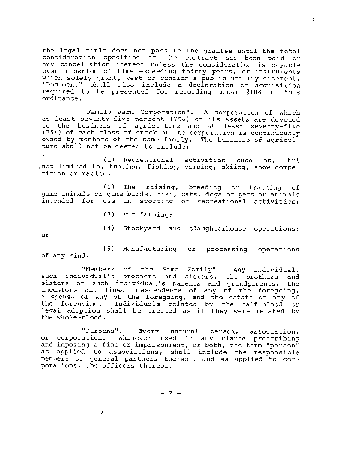the legal title does not pass to the grantee until the total consideration specified in the contract has been paid or any cancellation thereof unless the consideration is payable over a period of time exceeding thirty years, or instruments which solely grant, vest or confirm a public utility easement. "Document" shall also include a declaration of acquisition required to be presented for recording under §108 of this ordinance.

 $\ddot{\bullet}$ 

"Family Farm Corporation". A corporation of which at least seventy-five percent (75%) of its assets are devoted to the business of agriculture and at least seventy-five (75%) of each class of stock of the corporation is continuously owned by members of the same family. The business of agriculture shall not be deemed to include:

/ {l) Recreational activities such as, but not limited to, hunting, fishing, camping, skiing, show competition or racing;

( 2} The raising, breeding or training of game animals or game birds, fish, cats, dogs or pets or animals<br>intended for use in sporting or recreational activities: in sporting or recreational activities;

- (3) Fur farming;
- (4) Stockyard and slaughterhouse operations;

or

 $(5)$  Manufacturing of any kind. processing operations

"Members of the Same Family". Any individual, such individual's brothers and sisters, the brothers and sisters of such individual's parents and grandparents, the ancestors and lineal descendents of any of the foregoing, a spouse of any of the foregoing, and the estate of any of<br>the foregoing. Individuals related by the half-blood or Individuals related by the half-blood or legal adoption shall be treated as if they were related by the whole-blood.

"Persons". Every natural person, association, or corporation. Whenever used in any clause prescribing and imposing a fine or imprisonment, or both, the term "person" as applied to associations, shall include the responsible members or general partners thereof, and as applied to corporations, the officers thereof.

 $- 2 -$ 

÷.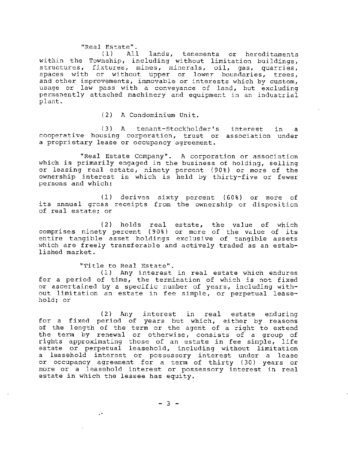# "Real Estate <sup>11</sup> •

lands, tenements or hereditaments within the Township, including without limitation buildings, structures, fixtures, mines, minerals, *oil,* gas, quarries, structures, *interety*, mines, minerars, oir, gas, quarries, and other improvements, immovable or interests which by custom, usage or law pass with a conveyance of land, but excluding permanently attached machinery and equipment in an industrial plant.

(2) A Condominium Unit.

( 3) A tenant-Stockholder's interest in a cooperative housing corporation, trust or association under a proprietary lease or occupancy agreement.

"Real Estate Company". A corporation or association which is primarily engaged in the business of holding, selling anson so primatily engaged in the babiness of hotding, seffing<br>or leasing real estate, ninety percent (90%) or more of the or idealing idea escare, hinety percent (50%) of more of the<br>ownership interest in which is held by thirty-five or fewer persons and which:

(1) derives sixty percent (60%) or more of its annual gross receipts from the ownership or disposition of real estate; or

(2) holds real estate, the value of which comprises ninety percent {90%) or more of the value of its entire tangible asset holdings exclusive of tangible assets which are freely transferable and actively traded as an established market.

"Title to Real Estate". ( 1) Any interest in real estate which endures for a period of time, the termination of which is not fixed or ascertained by a specific number of years, including without limitation an estate in fee simple, or perpetual leasehold; or

( 2) Any interest in real estate enduring for a fixed period of years but which, either by reasons of the length of the term or the agent of a right to extend the term by renewal or otherwise, consists of a group of rights approximating those of an estate in fee simple, life estate or perpetual leasehold, including without limitation a leasehold interest or possessory interest under a lease or occupancy agreement for a term of thirty ( 30} years or more or a leasehold interest or possessory interest in real estate *in* which the lessee has equity.

- 3 -

уX,

L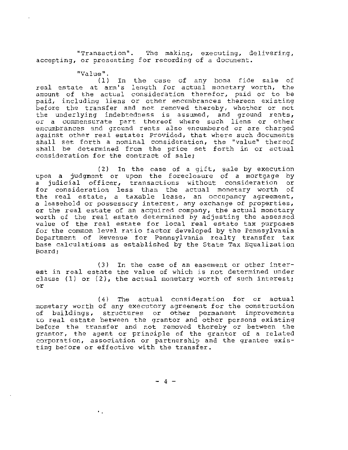"Transaction". The making, executing, delivering, accepting, or presenting for recording of a document.

"Value ".

 $(1)$  In the case of any bona fide sale of real estate at arm's length for actual monetary worth, the real estate at arm s length for actual monetary worth, the<br>amount of the actual consideration therefor, paid or to be paid, including liens or other encumbrances thereon existing paid, including from or centr embandednots encrean embanning<br>before the transfer and not removed thereby, whether or not the underlying indebtedness is assumed, and ground rents,<br>or a commensurate part thereof where such liens or other or a commensurate part thereof where such liens or other<br>encumbrances and ground rents also encumbered or are charged encumprances and ground rents also encumpered of are charged<br>against other real estate: Provided, that where such documents shall set forth a nominal consideration, the "value" thereof shall be determined from the price set forth in or actual consideration for the contract of sale;

(2) In the case of a gift, sale by execution upon a judgment or upon the foreclosure of a mortgage by apon a judgment of apon the referreduce of a meregage  $z_f$  a judicial officer, transactions without consideration or a judicial officer, cransactions without consideration of<br>for consideration less than the actual monetary worth of the real estate, a taxable lease, an occupancy agreement, a leasehold or possessory interest, any exchange of properties, or the real estate of an acquired company, the actual monetary worth of the real estate determined by adjusting the assessed value of the real estate for local real estate tax purposes for the common level ratio factor developed by the Pennsylvania Department of Revenue for Pennsylvania realty transfer tax base calculations as established by the State Tax Equalization Board;

( 3) In the case of an easement or other interest in real estate the value of which is not determined under clause (1) or  $(2)$ , the actual monetary worth of such interest; or

(4) The actual consideration for or actual monetary worth of any executory agreement for the construction of buildings, structures or other permanent improvements to real estate between the grantor and other persons existing before the transfer and not removed thereby or between the grantor, the agent or principle of the grantor of a related corporation, association or partnership and the grantee existing before or effective with the transfer.

 $- 4 -$ 

 $\ddot{\phantom{0}}$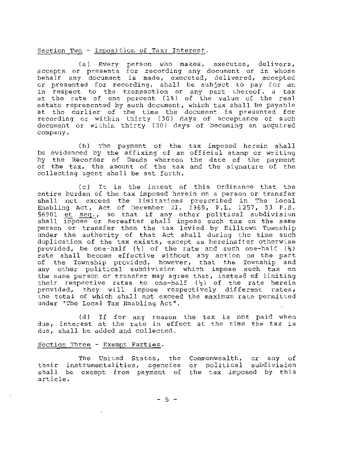## Section Two - Imposition of Tax; Interest.

(a) Every person who makes, executes, delivers,<br>accepts or presents for recording any document or in whose behalf any document is made, executed, delivered, accepted or presented for recording, shall be subject to pay for an in respect to the transaction or any part thereof, a tax at the rate of one percent ( 1%) of the value of the real estate represented by such document, which tax shall be payable at the earlier of the time the document is presented for recording or within thirty (30) days of acceptance of such document or within thirty ( 30) days of becoming an acquired company.

(b) The payment of the tax imposed herein shall be evidenced by the affixing of an official stamp or writing by the Recorder of Deeds whereon of the tax, the amount of the tax collecting agent shall be set forth. the date of the payment and the signature of the

( c) It is the intent of this Ordinance that the entire burden of the tax imposed herein on a person or transfer entifie builden of the tax imposed hetern on a person of cransfer<br>shall not exceed the limitations prescribed in The Local Enabling Act, Act of December 31, 1965, P.L. 1257, 53 P.S. shall not exceed the limitations prescribed in The Local<br>Enabling Act, Act of December 31, 1965, P.L. 1257, 53 P.S.<br>\$6901 et seq., so that if any other political subdivision<br>shall impose or hereafter shall impose such tax  $$6901$  et seq., so that if any other political subdivision<br>shall impose or hereafter shall impose such tax on the same person or transfer then the tax levied by Hilltown Township under the authority of that Act shall during the time such duplication of the tax exists, except as hereinafter otherwise provided, be one-half  $\left(\frac{1}{2}\right)$  of the rate and such one-half  $\left(\frac{1}{2}\right)$ rate shall become effective without any action on the part of the Township provided, however, that the Township and any other political subdivision which impose such tax on the same person or transfer may agree that, instead of limiting their respective rates to one-half  $(\frac{1}{2})$  of the rate herein provided, they will impose respectively different rates, the total of which shall not exceed the maximum rate permitted under "The Local Tax Enabling Act".

(d) If for any reason the tax is not paid when due, interest at the rate in effect at the time the tax is due, shall be added and collected.

## Section Three - Exempt Parties.

The United States, the Commonwealth, or any of The United States, the Commonwealth, of any of<br>their instrumentalities, agencies or political subdivision cheit instrumentalities, agencies of political subdivision<br>shall be exempt from payment of the tax imposed by this article.

 $-5 -$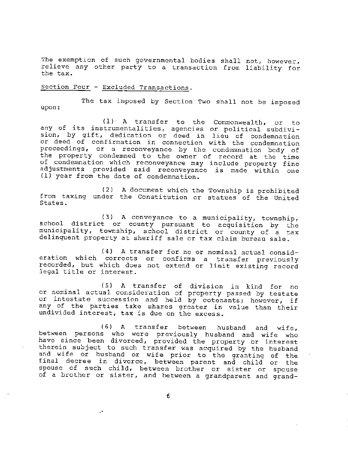The exemption of such governmental bodies shall not, however, relieve any other party to a transaction from liability for the tax.

## Section Four - Excluded Transactions.

The tax imposed by Section Two shall not be imposed upon:

(1)· A transfer to the Commonwealth, or to any of its instrumentalities, agencies or political subdiviany of fest instrumentaticles, agencies of political subdivi-<br>sion, by gift, dedication or deed in lieu of condemnation or deed of confirmation in connection with the condemnation proceedings, or a reconveyance by the condemnation body of the property condemned to the owner of record at the time of condemnation which reconveyance may include property fine adjustments provided said reconveyance is made within one {l) year from the date of condemnation.

(2) A document which the Township is prohibited from taxing under the Constitution or . statues of the United States.

(3) A conveyance to a municipality, township, school district or county pursuant to acquisition by the municipality, township, school district or county of a tax delinquent property at sheriff sale or tax claim bureau sale.

(4) A transfer for no or nominal actual consideration which corrects or confirms a transfer previously recorded, but which does not extend or limit existing record legal title or interest.

{5) A transfer of division in kind for no or nominal actual consideration of property passed by testate or intestate succession and held by cotenants; however, if any of the parties take shares greater in value than their undivided interest, tax is due on the excess.

{ 6) A transfer between husband and wife, between persons who were previously husband and wife who have since been divorced, provided the property or interest therein subject to such transfer was acquired by the husband and wife or husband or wife prior to the granting of the final decree in divorce, between parent and child or the spouse of such child, between brother or sister or spouse of a brother or sister, and between a grandparent and grand-

 $\ddot{\phantom{0}}$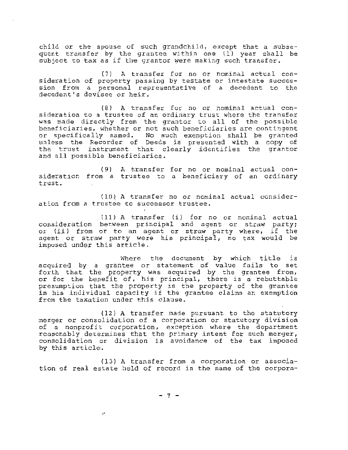child or the spouse of such grandchild, except that a subsequent transfer by the grantee within one (1) year shall be subject to tax as if the grantor were making such transfer.

(7) A transfer for no or nominal actual consideration of property passing by testate sideration of property passing by ecseate decedent's devisee or heir. nominal actual con-<br>or intestate succesa decedent to the

 $(8)$  A transfer for no or nominal actual consideration to a trustee of an ordinary trust where the transfer was made directly from the grantor to all of the possible beneficiaries, whether or not such beneficiaries are contingent or specifically named. No such exemption shall be granted unless the Recorder of Deeds is presented with a copy of the trust instrument that clearly identifies the grantor and all possible beneficiaries.

sideration from a trustee to a beneficiary of an ordinary t rust . (9) A transfer for no or nominal actual con-

 $(10)$  A transfer no or nominal actual consideration from a trustee to successor trustee.

 $(11)$  A transfer  $(i)$  for no or nominal actual consideration between principal and agent or straw party; or (ii) from or to an agent or straw party where, if the agent or straw party were his principal, no tax would be imposed under this article.

Where the document by which title is acquired by a grantee or statement of value fails to set forth that the property was acquired by the grantee from, or for the benefit of, his principal, there is a rebuttable presumption that the property is the property of the grantee in his individual capacity if the grantee claims an exemption from the taxation under this clause.

 $(12)$  A transfer made pursuant to the statutory merger or consolidation of a corporation or statutory division of a nonprofit corporation, exception where the department reasonably determines that the primary intent for such merger, consolidation or division is avoidance of the tax imposed by this article.

 $(13)$  A transfer from a corporation or association of real estate held of record in the name of the corpora-

 $-7 -$ 

 $\ddot{\phantom{a}}$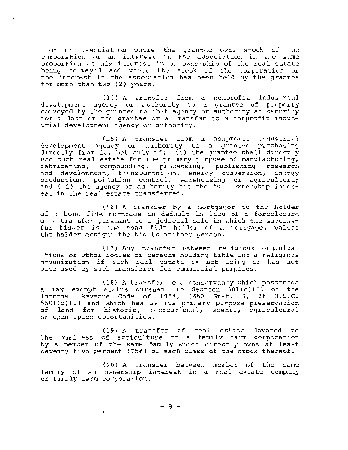tion or association where the grantee owns stock of the corporation or an interest in the association in the same proportion as his interest in or ownership of the real estate being conveyed and where the stock of the corporation or the interest in the association has been held by the grantee for more than two (2) years.

(14) A transfer from a nonprofit industrial development agency or authority to a grantee of property conveyed by the grantee to that agency or authority as security for a debt or the grantee or a transfer to a nonprofit industrial development agency or authority.

(15) A transfer from a nonprofit industrial development agency or authority to a grantee purchasing directly from it, but only if: (i) the grantee shall directly use such real estate for the primary purpose of manufacturing,<br>fabricating, compounding, processing, publishing research fabricating, compounding, processing, publishing and development, transportation, energy conversion, energy production, pollution control, warehousing or agriculture; and {ii) the agency or authority has the full ownership interest in the real estate transferred.

( 16) A transfer by a mortgagor to the holder of a bona fide mortgage in default in lieu of a foreclosure or a transfer pursuant to a judicial sale in which the success- ful bidder is the bona fide holder of a mortgage, unless the holder assigns the bid to another person.

(17) Any transfer between religious organizations or other bodies or persons holding title for a religious organization if such real estate is not being or has not been used by such transferor for commercial purposes.

(18) A transfer to a conservancy which possesses a tax exempt status pursuant to Section 50l(c)(3) of the Internal Revenue Code of 1954, (68A Stat. 3, 26 U.S.C. §501(c)(3) and which has as its primary purpose preservation of land for historic, recreational, scenic, agricultural or open space opportunities.

(19} A transfer of real estate devoted to the business of agriculture to a family farm corporation by a member of the same family which directly owns at least seventy-five percent (75%) of each class of the stock thereof.

(20) A transfer between member of the same family of an ownership interest in a real estate company or family farm corporation.

 $-8 -$ 

÷

 $\mathbb{L}$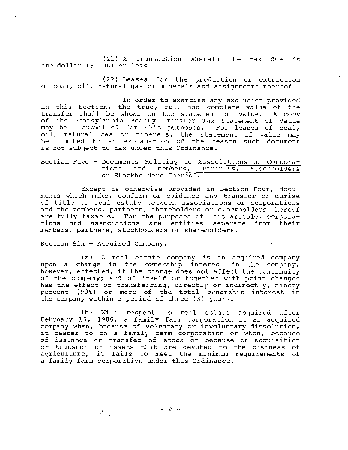(21) A transaction wherein the tax due is one dollar (\$1.00) or less.

(22) Leases for the production or extraction of coal, oil, natural gas or minerals and assignments thereof.

In order to exercise any exclusion provided in this Section, the true, full and complete value of the transfer shall be shown on the statement of value. A copy of the Pennsylvania Realty Transfer Tax Statement of Value may be submitted for this- purposes. For leases of coal, may be submitted for this purposes. For feases of Coal,<br>oil, natural gas or minerals, the statement of value may be limited to an explanation of the reason such document is not subject to tax under this Ordinance.

## Section Five - Documents Relating to Associations or Corpora-<br>tions and Members, Partners, Stockholders Members, Partners, Stockholders or Stockholders Thereof.

Except as otherwise provided in Section Four, documents which make, confirm or evidence any transfer or demise of title to real estate between associations or corporations and the members, partners, shareholders or stockholders thereof are fully taxable. For the purposes of this article, corporations and associations are entities separate from their members, partners,·stockholders or shareholders.

## Section Six - Acquired Company.

÷.

r

(a) A real estate company is an acquired company upon a change in the ownership interest in the company, however, effected, if the change does not affect the continuity of the company; and of itself or together with prior changes has the effect of transferring, directly or indirectly, ninety percent {90%} or more of the total ownership interest in the company within a period of three (3) years.

· (b) With respect to real estate acquired after February 16, 1986, a family farm corporation is an acquired company when, because.of voluntary or involuntary dissolution, it ceases to be a family farm corporation or when, because of issuance or transfer of stock or because of acquisition or transfer of assets that are devoted to the business of agriculture, it fails to meet the minimum requirements of a family farm corporation under this Ordinance.

 $-9 -$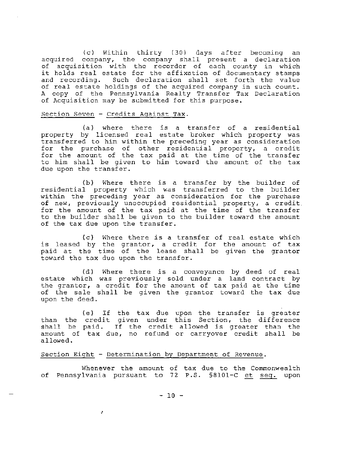(c} Within thirty (30) days after becoming an acquired company, the company shall present a declaration of acquisition with the recorder of each county in which it holds real estate for the affixation of documentary stamps and recording. Such declaration shall set forth the value of real estate holdings of the acquired company in such count. A copy of the Pennsylvania Realty Transfer Tax Declaration of Acquisition may be submitted for this purpose.

## Section Seven - Credits Against Tax.

(a) where there is a transfer of a residential property by licensed real estate broker which property was transferred to him within the preceding year as consideration for the purchase of other residential property, a credit for the amount of the tax paid at the time of the transfer to him shall be given to him toward the amount of the tax due upon the transfer.

(b) Where there is a transfer by the builder of residential property which was transferred to the builder within the preceding year as consideration for the purchase of new, previously unoccupied residential property, a credit. for the amount of the tax paid at the time of the transfer to the builder shall be given to the builder toward the amount of the tax due upon the transfer.

(c) Where there is a transfer of real estate which is leased by the grantor, a credit for the amount of tax paid at the time of the lease shall be given the grantor toward the tax due upon the transfer.

(d) Where there is a conveyance by deed of real estate which was previously sold under a land contract by the grantor, a credit for the amount of tax paid at the time of the sale shall be given the grantor toward the tax due upon the deed.

( e) If the tax due upon the transfer is greater than the credit given under this Section, the difference shall be paid. If the credit allowed is greater than the amount of tax due, no refund or carryover credit shall be allowed.

## Section Eight - Determination by Department of Revenue.

A.

Whene<mark>ver t</mark>he amount of tax due to the Commonwealth<br>of Pennsylvania pursuant to 72 P.S. §8101-C <u>et seq.</u> upon Whenever the amount of tax due to the Commonwealth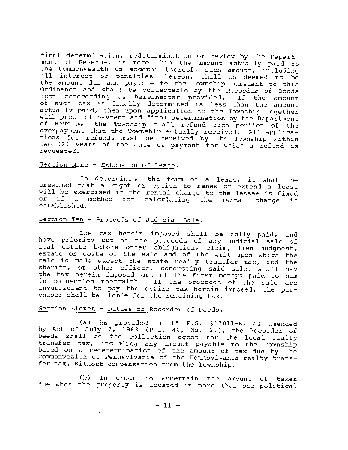final determination, redetermination or review by the Departermar accermination, redecermination of feview by the bepart-<br>ment of Revenue, is more than the amount actually paid to the Commonwealth on account thereof, such amount, including all interest or penalties thereon, shall be deemed to be the amount due and payable to the Township pursuant to this Ordinance and shall be collectable by the Recorder of Deeds upon rerecording as hereinafter provided. If the amount of such tax as finally determined is less than the amount actually paid, then upon application to the Township together with proof of payment and final determination by the Department of Revenue, the Township shall refund such portion of the overpayment that the Township actually received. All applications for refunds must be received by the Township within two ( 2) years of the date of payment for which a refund is requested.

# Section Nine - Extension of Lease.

In determining the term of a lease, it shall be presumed that a right or option to renew or extend a lease will be exercised if the rental charge to the lessee is fixed<br>or if a method for calculating the rental charge is if a method for calculating the rental charge is established.

# Section Ten - Proceeds of Judicial Sale.

The tax herein imposed shall be fully paid, and have priority out of the proceeds of any judicial sale of real estate before other obligation, claim, lien judgment, estate or costs of the sale and of the writ upon which the sale is made except the state realty transfer tax, and the sheriff, or other officer, conducting said sale, shall pay the tax herein imposed out of the first moneys paid to him in connection therewith. If the proceeds of the sale are insufficient to pay the entire tax herein imposed, the purchaser shall be liable for the remaining tax.

# Section Eleven - Duties of Recorder of Deeds.

V.

r<br>1930<br>1930

(a) As provided in 16 P.S. §11011-6, as amended by Act of July 7, 1983 (P.L. 40, No. 21), the Recorder of Deeds shall be the collection agent for the local realty transfer tax, including any amount payable to the Township based on a redetermination of the amount of tax due by the Commonwealth of Pennsylvania of the Pennsylvania realty transfer tax, without compensation from the Township.

{b) In order to ascertain the amount of taxes due when the property is located in more than one political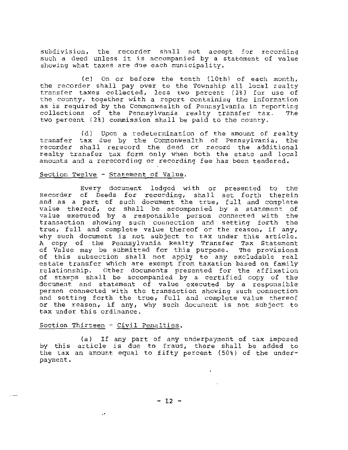subdivision, the recorder shall not accept for recording such a deed unless it is accompanied by a statement of value showing what taxes are due each municipality .

( c) On or before the tenth {10th) of each month, the recorder shall pay over to the Township all local realty the recorder shall pay over to the rownship all local realty<br>transfer taxes collected, less two percent (2%) for use of the county , together with a report containing the information as is required by the Commonwealth of Pennsylvania in reporting<br>collections of the Pennsylvania realty transfer tax. The collections of the Pennsylvania realty transfer tax. two percent (2%) commission shall be paid to the county.

(d) Upon a redetermination of the amount of realty transfer tax due by the Commonwealth of Pennsylvania, the recorder shall rerecord the deed or record the additional realty transfer tax form only when both the state and local amounts and a rerecording or recording fee has been tendered .

#### Section Twelve - Statement of Value.

Every document lodged with or presented to the Recorder of Deeds for recording, shall set forth therein and as a part of such document the true, full and complete value thereof, or shall be accompanied by a statement of value executed by a responsible person connected with the transaction showing such connection and setting forth the true, full and complete value thereof or the reason, if any, why such document is not subject to tax under this article. A copy of the Pennsylvania Realty Transfer Tax Statement of Value may be submitted for this purpose. The provisions of this subsection shall not apply to any excludable real estate transfer which are exempt from taxation based on family relationship. Other documents presented for the affixation of stamps shall be accompanied by a certified copy of the document and statement of value executed by a responsible person connected with the transaction showing such connection and setting forth the true, full and complete value thereof or the reason, if any, why such document is not subject to tax under this ordinance.

## Section Thirteen - Civil Penalties.

 $\bar{\phantom{a}}$ 

(a) If any part of any underpayment of tax imposed by this article is due to fraud, there shall be added to the tax an amount equal to fifty percent (50%) of the underpayment.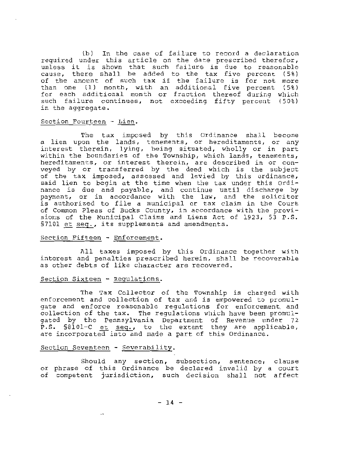(b) In the case of failure to record a declaration required under this article on the date prescribed therefor, unless it is shown that such failure is due to reasonable cause, there shall be added to the tax five percent  $(5*)$ of the amount of such tax if the failure is for not more than one (1) month, with an additional five percent (5%) for each additional month or fraction thereof during which such failure continues, not exceeding fifty percent (50%) in the aggregate.

## Section Fourteen - Lien .

The tax imposed by this Ordinance shall become a lien upon the lands, tenements, or hereditaments, or any interest therein, lying, being situated, wholly or in part within the boundaries of the Township, which lands, tenements, hereditaments, or interest therein, are described in or conveyed by or transferred by the deed which is the subject of the tax imposed, assessed and levied by this ordinance, said lien to begin at the time when the tax under this Ordinance is due and payable, and continue until discharge by payment, or in accordance with the law, and the solicitor is authorized to file a municipal or tax claim in the Court of Common Pleas of Bucks County, in accordance with the provisions of the Municipal Claims and Liens Act of 1923, 53 P.S. §7101 et seq., its supplements and amendments.

## Section Fifteen - Enforcement.

All taxes imposed by this Ordinance together with interest and penalties prescribed herein, shall be recoverable as other debts of like character are recovered.

#### Section Sixteen - Regulations.

The Tax Collector of the Township is charged with enforcement and collection of tax and is empowered to promulgate and enforce reasonable regulations for enforcement and collection of the tax. The regulations which have been promulgated by the Pennsylvania Department of Revenue under 72 P.S.  $$8101-C$  et  ${seq.}$ , to the extent they are applicable, are incorporated into and made a part of this Ordinance.

## Section Seventeen - Severability.

Should any section, subsection, sentence, clause or phrase of this Ordinance be declared invalid by a court of competent jurisdiction, such decision shall not affect